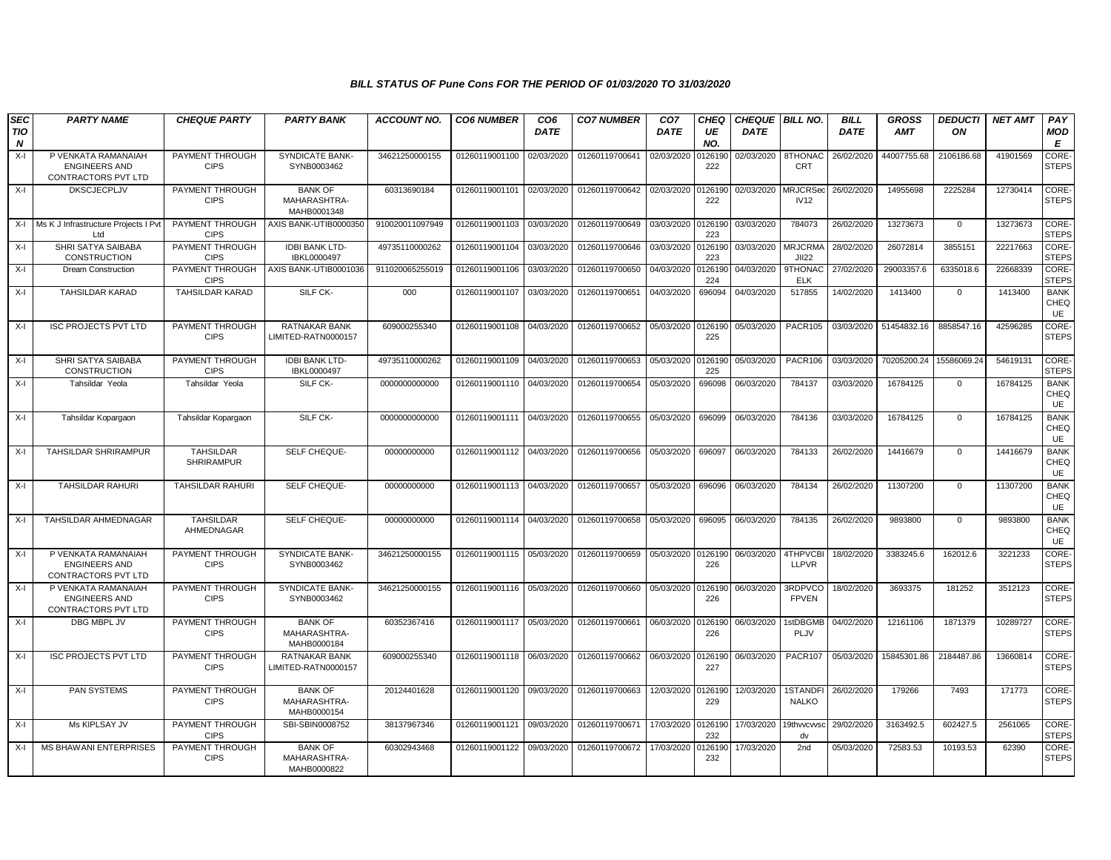| <b>SEC</b><br><b>TIO</b> | <b>PARTY NAME</b>                                                  | <b>CHEQUE PARTY</b>                   | <b>PARTY BANK</b>                             | <b>ACCOUNT NO.</b> | <b>CO6 NUMBER</b>         | CO <sub>6</sub><br><b>DATE</b> | <b>CO7 NUMBER</b> | CO <sub>7</sub><br><b>DATE</b> | <b>CHEQ</b><br>UE | <b>CHEQUE   BILL NO.</b><br><b>DATE</b> |                                | <b>BILL</b><br><b>DATE</b> | <b>GROSS</b><br><b>AMT</b> | <b>DEDUCTI</b><br>ON | <b>NET AMT</b> | PAY                              |
|--------------------------|--------------------------------------------------------------------|---------------------------------------|-----------------------------------------------|--------------------|---------------------------|--------------------------------|-------------------|--------------------------------|-------------------|-----------------------------------------|--------------------------------|----------------------------|----------------------------|----------------------|----------------|----------------------------------|
| N                        |                                                                    |                                       |                                               |                    |                           |                                |                   |                                | NO.               |                                         |                                |                            |                            |                      |                | MOD<br>Е                         |
| $X-I$                    | P VENKATA RAMANAIAH<br><b>ENGINEERS AND</b><br>CONTRACTORS PVT LTD | PAYMENT THROUGH<br><b>CIPS</b>        | <b>SYNDICATE BANK-</b><br>SYNB0003462         | 34621250000155     | 01260119001100            | 02/03/2020                     | 01260119700641    | 02/03/2020                     | 126190<br>222     | 02/03/2020                              | 8THONAC<br><b>CRT</b>          | 26/02/2020                 | 44007755.68                | 2106186.68           | 41901569       | <b>CORE</b><br><b>STEPS</b>      |
| $X-I$                    | <b>DKSCJECPLJV</b>                                                 | PAYMENT THROUGH<br><b>CIPS</b>        | <b>BANK OF</b><br>MAHARASHTRA-<br>MAHB0001348 | 60313690184        | 01260119001101            | 02/03/2020                     | 01260119700642    | 02/03/2020                     | 126190<br>222     | 02/03/2020                              | <b>MRJCRSed</b><br><b>IV12</b> | 26/02/2020                 | 14955698                   | 2225284              | 12730414       | CORE-<br><b>STEPS</b>            |
| $X-I$                    | Ms K J Infrastructure Projects I Pvt<br>Ltd                        | PAYMENT THROUGH<br><b>CIPS</b>        | AXIS BANK-UTIB0000350                         | 910020011097949    | 01260119001103            | 03/03/2020                     | 01260119700649    | 03/03/2020                     | 126190<br>223     | 03/03/2020                              | 784073                         | 26/02/2020                 | 13273673                   | $\mathbf 0$          | 13273673       | CORE-<br><b>STEPS</b>            |
| $X-I$                    | SHRI SATYA SAIBABA<br><b>CONSTRUCTION</b>                          | PAYMENT THROUGH<br><b>CIPS</b>        | <b>IDBI BANK LTD-</b><br>IBKL0000497          | 49735110000262     | 01260119001104            | 03/03/2020                     | 01260119700646    | 03/03/2020                     | 126190<br>223     | 03/03/2020                              | <b>MRJCRMA</b><br><b>JII22</b> | 28/02/2020                 | 26072814                   | 3855151              | 22217663       | CORE-<br><b>STEPS</b>            |
| $X-I$                    | <b>Dream Construction</b>                                          | PAYMENT THROUGH<br><b>CIPS</b>        | AXIS BANK-UTIB0001036                         | 911020065255019    | 01260119001106            | 03/03/2020                     | 01260119700650    | 04/03/2020                     | 126190<br>224     | 04/03/2020                              | 9THONAC<br><b>ELK</b>          | 27/02/2020                 | 29003357.6                 | 6335018.6            | 22668339       | CORE-<br><b>STEPS</b>            |
| $X-I$                    | <b>TAHSILDAR KARAD</b>                                             | <b>TAHSILDAR KARAD</b>                | SILF CK-                                      | 000                | 01260119001107            | 03/03/2020                     | 01260119700651    | 04/03/2020                     | 696094            | 04/03/2020                              | 517855                         | 14/02/2020                 | 1413400                    | $\mathbf 0$          | 1413400        | <b>BANK</b><br>CHEQ<br>UE        |
| $X-I$                    | <b>ISC PROJECTS PVT LTD</b>                                        | PAYMENT THROUGH<br><b>CIPS</b>        | <b>RATNAKAR BANK</b><br>LIMITED-RATN0000157   | 609000255340       | 01260119001108            | 04/03/2020                     | 01260119700652    | 05/03/2020                     | 0126190<br>225    | 05/03/2020                              | <b>PACR105</b>                 | 03/03/2020                 | 51454832.16                | 8858547.16           | 42596285       | CORE-<br><b>STEPS</b>            |
| $X-I$                    | SHRI SATYA SAIBABA<br><b>CONSTRUCTION</b>                          | PAYMENT THROUGH<br><b>CIPS</b>        | <b>IDBI BANK LTD-</b><br>IBKL0000497          | 49735110000262     | 01260119001109            | 04/03/2020                     | 01260119700653    | 05/03/2020                     | 0126190<br>225    | 05/03/2020                              | <b>PACR106</b>                 | 03/03/2020                 | 70205200.24                | 15586069.24          | 54619131       | CORE-<br><b>STEPS</b>            |
| $X-I$                    | Tahsildar Yeola                                                    | Tahsildar Yeola                       | SILF CK-                                      | 0000000000000      | 01260119001110 04/03/2020 |                                | 01260119700654    | 05/03/2020                     | 696098            | 06/03/2020                              | 784137                         | 03/03/2020                 | 16784125                   | $\mathbf 0$          | 16784125       | <b>BANK</b><br>CHEQ<br><b>UE</b> |
| X-I                      | Tahsildar Kopargaon                                                | Tahsildar Kopargaor                   | SILF CK-                                      | 0000000000000      | 01260119001111 04/03/2020 |                                | 01260119700655    | 05/03/2020                     | 696099            | 06/03/2020                              | 784136                         | 03/03/2020                 | 16784125                   | $\Omega$             | 16784125       | <b>BANK</b><br>CHEQ<br>UE        |
| $X-I$                    | TAHSILDAR SHRIRAMPUR                                               | <b>TAHSILDAR</b><br><b>SHRIRAMPUR</b> | SELF CHEQUE-                                  | 00000000000        | 01260119001112            | 04/03/2020                     | 01260119700656    | 05/03/2020                     | 696097            | 06/03/2020                              | 784133                         | 26/02/2020                 | 14416679                   | $\mathbf{0}$         | 14416679       | <b>BANK</b><br>CHEQ<br>UE        |
| $X-I$                    | <b>TAHSILDAR RAHURI</b>                                            | <b>TAHSILDAR RAHURI</b>               | SELF CHEQUE-                                  | 00000000000        | 01260119001113 04/03/2020 |                                | 01260119700657    | 05/03/2020                     | 696096            | 06/03/2020                              | 784134                         | 26/02/2020                 | 11307200                   | $\Omega$             | 11307200       | <b>BANK</b><br>CHEQ<br>UE        |
| $X-I$                    | TAHSILDAR AHMEDNAGAR                                               | <b>TAHSILDAR</b><br>AHMEDNAGAR        | SELF CHEQUE-                                  | 00000000000        | 01260119001114 04/03/2020 |                                | 01260119700658    | 05/03/2020                     | 696095            | 06/03/2020                              | 784135                         | 26/02/2020                 | 9893800                    | $\mathbf 0$          | 9893800        | <b>BANK</b><br>CHEQ<br><b>UE</b> |
| $X-I$                    | P VENKATA RAMANAIAH<br><b>ENGINEERS AND</b><br>CONTRACTORS PVT LTD | PAYMENT THROUGH<br><b>CIPS</b>        | <b>SYNDICATE BANK</b><br>SYNB0003462          | 34621250000155     | 01260119001115            | 05/03/2020                     | 01260119700659    | 05/03/2020                     | 0126190<br>226    | 06/03/2020                              | 4THPVCBI<br><b>LLPVR</b>       | 18/02/2020                 | 3383245.6                  | 162012.6             | 3221233        | CORE-<br><b>STEPS</b>            |
| $X-I$                    | P VENKATA RAMANAIAH<br><b>ENGINEERS AND</b><br>CONTRACTORS PVT LTD | PAYMENT THROUGH<br><b>CIPS</b>        | SYNDICATE BANK-<br>SYNB0003462                | 34621250000155     | 01260119001116 05/03/2020 |                                | 01260119700660    | 05/03/2020                     | 126190<br>226     | 06/03/2020                              | 3RDPVCO<br><b>FPVEN</b>        | 18/02/2020                 | 3693375                    | 181252               | 3512123        | CORE-<br><b>STEPS</b>            |
| $X-I$                    | DBG MBPL JV                                                        | PAYMENT THROUGH<br><b>CIPS</b>        | <b>BANK OF</b><br>MAHARASHTRA-<br>MAHB0000184 | 60352367416        | 01260119001117 05/03/2020 |                                | 01260119700661    | 06/03/2020                     | 0126190<br>226    | 06/03/2020                              | 1stDBGMB<br>PLJV               | 04/02/2020                 | 12161106                   | 1871379              | 10289727       | CORE-<br><b>STEPS</b>            |
| $X-I$                    | <b>ISC PROJECTS PVT LTD</b>                                        | PAYMENT THROUGH<br><b>CIPS</b>        | <b>RATNAKAR BANK</b><br>LIMITED-RATN0000157   | 609000255340       | 01260119001118            | 06/03/2020                     | 01260119700662    | 06/03/2020                     | 0126190<br>227    | 06/03/2020                              | <b>PACR107</b>                 | 05/03/2020                 | 15845301.86                | 2184487.86           | 13660814       | CORE-<br><b>STEPS</b>            |
| $X-I$                    | PAN SYSTEMS                                                        | PAYMENT THROUGH<br><b>CIPS</b>        | <b>BANK OF</b><br>MAHARASHTRA-<br>MAHB0000154 | 20124401628        | 01260119001120            | 09/03/2020                     | 01260119700663    | 12/03/2020                     | 0126190<br>229    | 12/03/2020                              | 1STANDFI<br><b>NALKO</b>       | 26/02/2020                 | 179266                     | 7493                 | 171773         | <b>CORE</b><br><b>STEPS</b>      |
| $X-I$                    | Ms KIPLSAY JV                                                      | PAYMENT THROUGH<br><b>CIPS</b>        | SBI-SBIN0008752                               | 38137967346        | 01260119001121            | 09/03/2020                     | 01260119700671    | 17/03/2020                     | 126190<br>232     | 17/03/2020                              | 19thwcwsc<br>dv                | 29/02/2020                 | 3163492.5                  | 602427.5             | 2561065        | <b>CORE</b><br><b>STEPS</b>      |
| $X-I$                    | <b>MS BHAWANI ENTERPRISES</b>                                      | PAYMENT THROUGH<br><b>CIPS</b>        | <b>BANK OF</b><br>MAHARASHTRA-<br>MAHB0000822 | 60302943468        | 01260119001122            | 09/03/2020                     | 01260119700672    | 17/03/2020                     | 126190<br>232     | 17/03/2020                              | 2 <sub>nd</sub>                | 05/03/2020                 | 72583.53                   | 10193.53             | 62390          | CORE-<br><b>STEPS</b>            |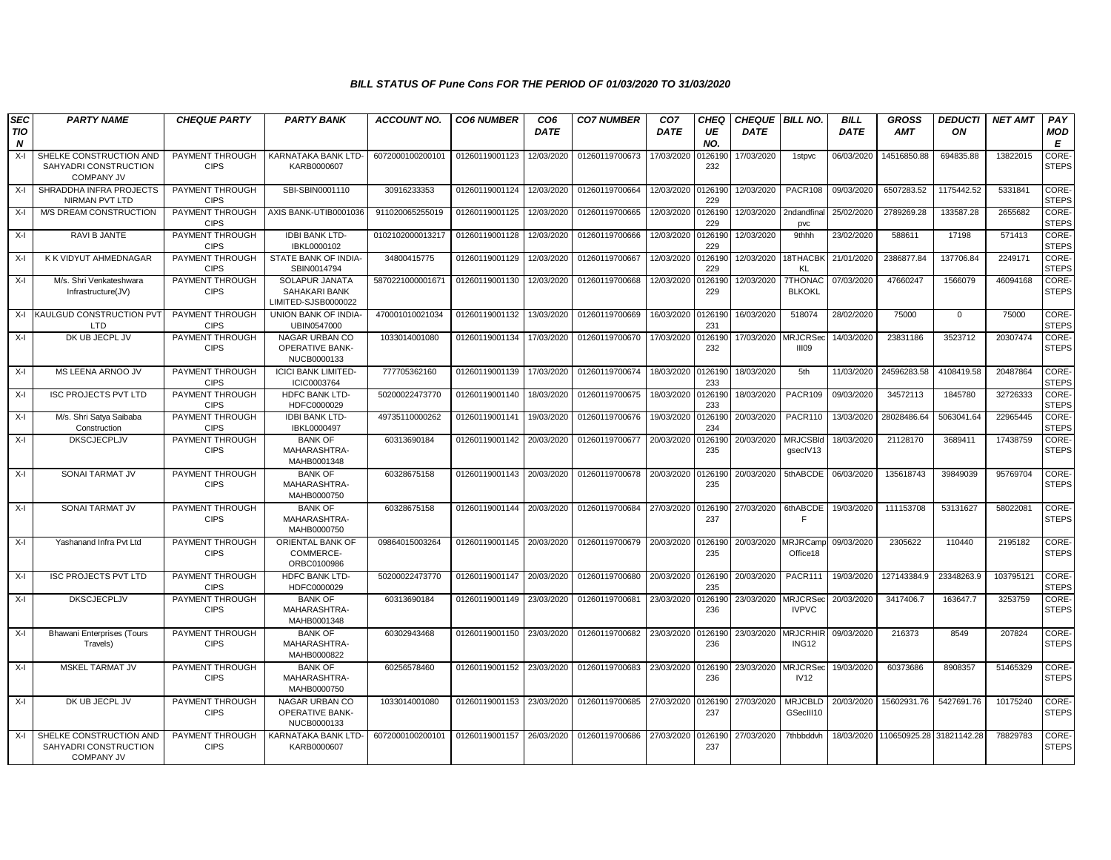| <b>SEC</b>              | <b>PARTY NAME</b>                                                     | <b>CHEQUE PARTY</b>            | <b>PARTY BANK</b>                                       | <b>ACCOUNT NO.</b> | <b>CO6 NUMBER</b>         | CO <sub>6</sub> | <b>CO7 NUMBER</b>         | CO <sub>7</sub>    | CHEQ           | <b>CHEQUE BILL NO.</b> |                                 | <b>BILL</b> | <b>GROSS</b>             | <b>DEDUCTI</b> | <b>NET AMT</b> | PAY                   |
|-------------------------|-----------------------------------------------------------------------|--------------------------------|---------------------------------------------------------|--------------------|---------------------------|-----------------|---------------------------|--------------------|----------------|------------------------|---------------------------------|-------------|--------------------------|----------------|----------------|-----------------------|
| TIO<br>$\boldsymbol{N}$ |                                                                       |                                |                                                         |                    |                           | <b>DATE</b>     |                           | <b>DATE</b>        | UE<br>NO.      | <b>DATE</b>            |                                 | <b>DATE</b> | <b>AMT</b>               | ON             |                | MOD<br>E              |
| X-I                     | SHELKE CONSTRUCTION AND<br>SAHYADRI CONSTRUCTION<br><b>COMPANY JV</b> | PAYMENT THROUGH<br><b>CIPS</b> | KARNATAKA BANK LTD-<br>KARB0000607                      | 6072000100200101   | 01260119001123            | 12/03/2020      | 01260119700673            | 17/03/2020         | 0126190<br>232 | 17/03/2020             | 1stpvc                          | 06/03/2020  | 14516850.88              | 694835.88      | 13822015       | CORE-<br><b>STEPS</b> |
| $X-I$                   | SHRADDHA INFRA PROJECTS<br>NIRMAN PVT LTD                             | PAYMENT THROUGH<br><b>CIPS</b> | SBI-SBIN0001110                                         | 30916233353        | 01260119001124            | 12/03/2020      | 01260119700664            | 12/03/2020         | 0126190<br>229 | 12/03/2020             | PACR108                         | 09/03/2020  | 6507283.52               | 1175442.52     | 5331841        | CORE-<br><b>STEPS</b> |
| X-I                     | <b>M/S DREAM CONSTRUCTION</b>                                         | PAYMENT THROUGH<br><b>CIPS</b> | AXIS BANK-UTIB0001036                                   | 911020065255019    | 01260119001125            | 12/03/2020      | 01260119700665            | 12/03/2020         | 0126190<br>229 | 12/03/2020             | 2ndandfina<br>pvc               | 25/02/2020  | 2789269.28               | 133587.28      | 2655682        | CORE-<br><b>STEPS</b> |
| X-I                     | RAVI B JANTE                                                          | PAYMENT THROUGH<br><b>CIPS</b> | <b>IDBI BANK LTD-</b><br>IBKL0000102                    | 0102102000013217   | 01260119001128            | 12/03/2020      | 01260119700666            | 12/03/2020         | 0126190<br>229 | 12/03/2020             | 9thhh                           | 23/02/2020  | 588611                   | 17198          | 571413         | CORE-<br><b>STEPS</b> |
| $X-I$                   | K K VIDYUT AHMEDNAGAR                                                 | PAYMENT THROUGH<br><b>CIPS</b> | STATE BANK OF INDIA-<br>SBIN0014794                     | 34800415775        | 01260119001129            | 12/03/2020      | 01260119700667            | 12/03/2020         | 012619<br>229  | 12/03/2020             | 18THACBI<br><b>KL</b>           | 21/01/2020  | 2386877.84               | 137706.84      | 2249171        | CORE-<br><b>STEPS</b> |
| $X-I$                   | M/s. Shri Venkateshwara<br>Infrastructure(JV)                         | PAYMENT THROUGH<br><b>CIPS</b> | SOLAPUR JANATA<br>SAHAKARI BANK<br>LIMITED-SJSB0000022  | 5870221000001671   | 01260119001130            | 12/03/2020      | 01260119700668            | 12/03/2020         | 0126190<br>229 | 12/03/2020             | <b>7THONAC</b><br><b>BLKOKL</b> | 07/03/2020  | 47660247                 | 1566079        | 46094168       | CORE-<br><b>STEPS</b> |
|                         | X-I KAULGUD CONSTRUCTION PVT<br>LTD                                   | PAYMENT THROUGH<br><b>CIPS</b> | UNION BANK OF INDIA-<br>UBIN0547000                     | 470001010021034    | 01260119001132            | 13/03/2020      | 01260119700669            | 16/03/2020         | 012619<br>231  | 16/03/2020             | 518074                          | 28/02/2020  | 75000                    | $\mathbf 0$    | 75000          | CORE-<br><b>STEPS</b> |
| $X-I$                   | DK UB JECPL JV                                                        | PAYMENT THROUGH<br><b>CIPS</b> | NAGAR URBAN CO<br><b>OPERATIVE BANK-</b><br>NUCB0000133 | 1033014001080      | 01260119001134            | 17/03/2020      | 01260119700670            | 17/03/2020         | 0126190<br>232 | 17/03/2020 MRJCRSeo    | IIIO9                           | 14/03/2020  | 23831186                 | 3523712        | 20307474       | CORE-<br><b>STEPS</b> |
| $X-I$                   | MS LEENA ARNOO JV                                                     | PAYMENT THROUGH<br><b>CIPS</b> | <b>ICICI BANK LIMITED-</b><br>ICIC0003764               | 777705362160       | 01260119001139            | 17/03/2020      | 01260119700674            | 18/03/2020         | 0126190<br>233 | 18/03/2020             | 5th                             | 11/03/2020  | 24596283.58              | 4108419.58     | 20487864       | CORE-<br><b>STEPS</b> |
| $X-I$                   | <b>ISC PROJECTS PVT LTD</b>                                           | PAYMENT THROUGH<br><b>CIPS</b> | <b>HDFC BANK LTD-</b><br>HDFC0000029                    | 50200022473770     | 01260119001140            | 18/03/2020      | 01260119700675            | 18/03/2020         | 0126190<br>233 | 18/03/2020             | <b>PACR109</b>                  | 09/03/2020  | 34572113                 | 1845780        | 32726333       | CORE-<br><b>STEPS</b> |
| $X-I$                   | M/s. Shri Satya Saibaba<br>Construction                               | PAYMENT THROUGH<br><b>CIPS</b> | <b>IDBI BANK LTD-</b><br>IBKL0000497                    | 49735110000262     | 01260119001141            | 19/03/2020      | 01260119700676            | 19/03/2020         | 0126190<br>234 | 20/03/2020             | PACR110                         | 13/03/2020  | 28028486.64              | 5063041.64     | 22965445       | CORE-<br><b>STEPS</b> |
| X-I                     | <b>DKSCJECPLJV</b>                                                    | PAYMENT THROUGH<br><b>CIPS</b> | <b>BANK OF</b><br>MAHARASHTRA-<br>MAHB0001348           | 60313690184        | 01260119001142            | 20/03/2020      | 01260119700677            | 20/03/2020         | 0126190<br>235 | 20/03/2020             | <b>MRJCSBId</b><br>gsecIV13     | 18/03/2020  | 21128170                 | 3689411        | 17438759       | CORE-<br><b>STEPS</b> |
| $X-I$                   | SONAI TARMAT JV                                                       | PAYMENT THROUGH<br><b>CIPS</b> | <b>BANK OF</b><br>MAHARASHTRA-<br>MAHB0000750           | 60328675158        | 01260119001143 20/03/2020 |                 | 01260119700678 20/03/2020 |                    | 0126190<br>235 | 20/03/2020             | 5thABCDE                        | 06/03/2020  | 135618743                | 39849039       | 95769704       | CORE-<br><b>STEPS</b> |
| $X-I$                   | <b>SONAI TARMAT JV</b>                                                | PAYMENT THROUGH<br><b>CIPS</b> | <b>BANK OF</b><br>MAHARASHTRA-<br>MAHB0000750           | 60328675158        | 01260119001144            | 20/03/2020      | 01260119700684            | 27/03/2020 0126190 | 237            | 27/03/2020             | 6thABCDE<br>E                   | 19/03/2020  | 111153708                | 53131627       | 58022081       | CORE-<br><b>STEPS</b> |
| X-I                     | Yashanand Infra Pvt Ltd                                               | PAYMENT THROUGH<br><b>CIPS</b> | ORIENTAL BANK OF<br>COMMERCE-<br>ORBC0100986            | 09864015003264     | 01260119001145            | 20/03/2020      | 01260119700679            | 20/03/2020         | 0126190<br>235 | 20/03/2020             | <b>MRJRCamp</b><br>Office18     | 09/03/2020  | 2305622                  | 110440         | 2195182        | CORE-<br><b>STEPS</b> |
| $X-I$                   | <b>ISC PROJECTS PVT LTD</b>                                           | PAYMENT THROUGH<br><b>CIPS</b> | <b>HDFC BANK LTD-</b><br>HDFC0000029                    | 50200022473770     | 01260119001147            | 20/03/2020      | 01260119700680            | 20/03/2020         | 0126190<br>235 | 20/03/2020             | <b>PACR111</b>                  | 19/03/2020  | 127143384.9              | 23348263.9     | 103795121      | CORE-<br><b>STEPS</b> |
| $X-I$                   | DKSCJECPLJV                                                           | PAYMENT THROUGH<br><b>CIPS</b> | <b>BANK OF</b><br>MAHARASHTRA-<br>MAHB0001348           | 60313690184        | 01260119001149            | 23/03/2020      | 01260119700681            | 23/03/2020         | 0126190<br>236 | 23/03/2020 MRJCRSed    | <b>IVPVC</b>                    | 20/03/2020  | 3417406.7                | 163647.7       | 3253759        | CORE-<br><b>STEPS</b> |
| X-I                     | <b>Bhawani Enterprises (Tours</b><br>Travels)                         | PAYMENT THROUGH<br><b>CIPS</b> | <b>BANK OF</b><br>MAHARASHTRA-<br>MAHB0000822           | 60302943468        | 01260119001150            | 23/03/2020      | 01260119700682            | 23/03/2020         | 0126190<br>236 | 23/03/2020             | <b>MRJCRHIR</b><br>ING12        | 09/03/2020  | 216373                   | 8549           | 207824         | CORE-<br><b>STEPS</b> |
| $X-I$                   | MSKEL TARMAT JV                                                       | PAYMENT THROUGH<br><b>CIPS</b> | <b>BANK OF</b><br>MAHARASHTRA-<br>MAHB0000750           | 60256578460        | 01260119001152            | 23/03/2020      | 01260119700683            | 23/03/2020         | 0126190<br>236 | 23/03/2020             | <b>MRJCRSed</b><br>IV12         | 19/03/2020  | 60373686                 | 8908357        | 51465329       | CORE-<br><b>STEPS</b> |
| X-I                     | DK UB JECPL JV                                                        | PAYMENT THROUGH<br><b>CIPS</b> | NAGAR URBAN CO<br><b>OPERATIVE BANK-</b><br>NUCB0000133 | 1033014001080      | 01260119001153 23/03/2020 |                 | 01260119700685            | 27/03/2020         | 0126190<br>237 | 27/03/2020             | <b>MRJCBLD</b><br>GSecIII10     | 20/03/2020  | 15602931.76              | 5427691.76     | 10175240       | CORE-<br><b>STEPS</b> |
| $X-I$                   | SHELKE CONSTRUCTION AND<br>SAHYADRI CONSTRUCTION<br><b>COMPANY JV</b> | PAYMENT THROUGH<br><b>CIPS</b> | KARNATAKA BANK LTD-<br>KARB0000607                      | 6072000100200101   | 01260119001157            | 26/03/2020      | 01260119700686            | 27/03/2020         | 0126190<br>237 | 27/03/2020             | 7thbbddvh                       | 18/03/2020  | 110650925.28 31821142.28 |                | 78829783       | CORE-<br><b>STEPS</b> |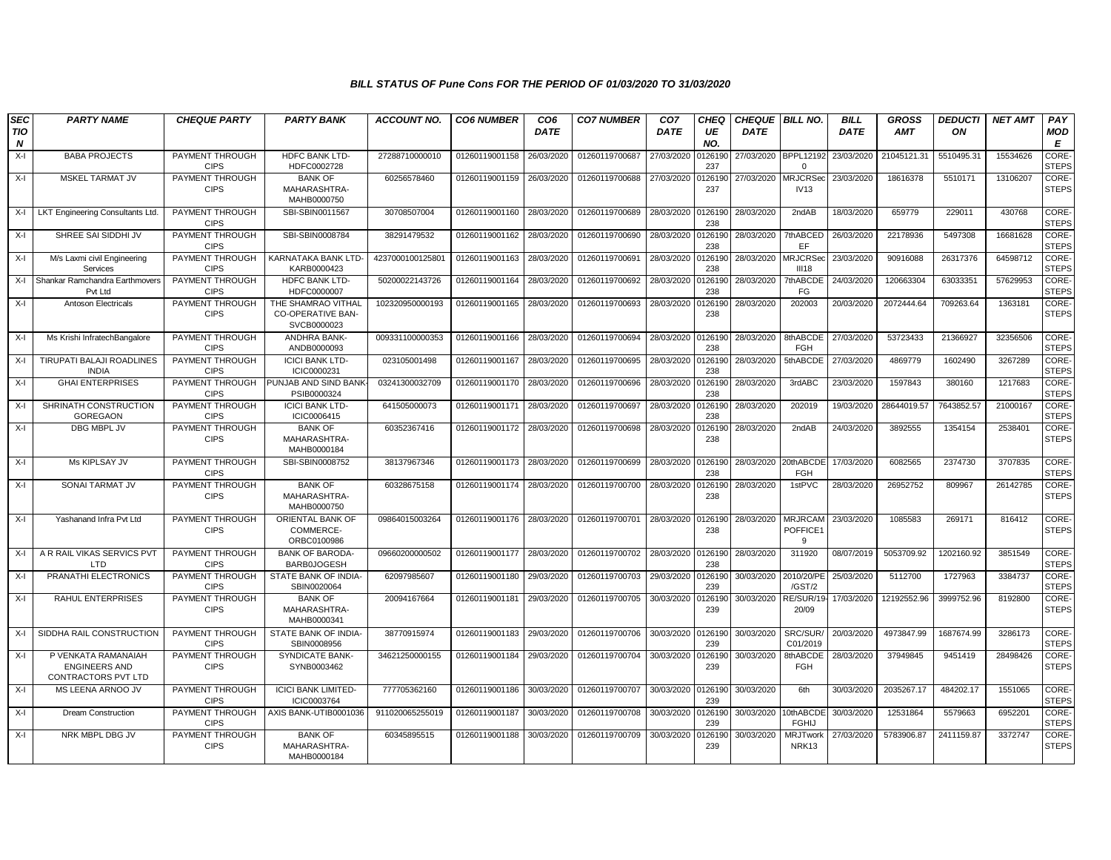| <b>SEC</b>      | <b>PARTY NAME</b>                                                  | <b>CHEQUE PARTY</b>                   | <b>PARTY BANK</b>                                             | <b>ACCOUNT NO.</b> | <b>CO6 NUMBER</b> | CO <sub>6</sub> | <b>CO7 NUMBER</b> | CO <sub>7</sub> | CHEQ           | <b>CHEQUE BILL NO.</b> |                                  | <b>BILL</b> | <b>GROSS</b> | <b>DEDUCTI</b> | <b>NET AMT</b> | PAY                   |
|-----------------|--------------------------------------------------------------------|---------------------------------------|---------------------------------------------------------------|--------------------|-------------------|-----------------|-------------------|-----------------|----------------|------------------------|----------------------------------|-------------|--------------|----------------|----------------|-----------------------|
| <b>TIO</b><br>N |                                                                    |                                       |                                                               |                    |                   | <b>DATE</b>     |                   | <b>DATE</b>     | UE<br>NO.      | <b>DATE</b>            |                                  | <b>DATE</b> | <b>AMT</b>   | ON             |                | MOD<br>Е              |
| $X-I$           | <b>BABA PROJECTS</b>                                               | PAYMENT THROUGH<br><b>CIPS</b>        | HDFC BANK LTD-<br>HDFC0002728                                 | 27288710000010     | 01260119001158    | 26/03/2020      | 01260119700687    | 27/03/2020      | 126190<br>237  |                        | 27/03/2020 BPPL12192<br>$\Omega$ | 23/03/2020  | 21045121.31  | 5510495.31     | 15534626       | CORE-<br><b>STEPS</b> |
| X-I             | MSKEL TARMAT JV                                                    | PAYMENT THROUGH<br><b>CIPS</b>        | <b>BANK OF</b><br>MAHARASHTRA-<br>MAHB0000750                 | 60256578460        | 01260119001159    | 26/03/2020      | 01260119700688    | 27/03/2020      | 126190<br>237  | 27/03/2020 MRJCRSec    | <b>IV13</b>                      | 23/03/2020  | 18616378     | 5510171        | 13106207       | CORE-<br><b>STEPS</b> |
| X-I             | <b>LKT Engineering Consultants Ltd</b>                             | PAYMENT THROUGH<br><b>CIPS</b>        | SBI-SBIN0011567                                               | 30708507004        | 01260119001160    | 28/03/2020      | 01260119700689    | 28/03/2020      | 0126190<br>238 | 28/03/2020             | 2ndAB                            | 18/03/2020  | 659779       | 229011         | 430768         | CORE-<br><b>STEPS</b> |
| X-I             | SHREE SAI SIDDHI JV                                                | PAYMENT THROUGH<br><b>CIPS</b>        | SBI-SBIN0008784                                               | 38291479532        | 01260119001162    | 28/03/2020      | 01260119700690    | 28/03/2020      | 0126190<br>238 | 28/03/2020             | 7thABCED<br>EF                   | 26/03/2020  | 22178936     | 5497308        | 16681628       | CORE-<br><b>STEPS</b> |
| X-I             | M/s Laxmi civil Engineering<br>Services                            | PAYMENT THROUGH<br><b>CIPS</b>        | KARNATAKA BANK LTD-<br>KARB0000423                            | 423700010012580    | 01260119001163    | 28/03/2020      | 01260119700691    | 28/03/2020      | 0126190<br>238 | 28/03/2020             | <b>MRJCRSed</b><br>III18         | 23/03/2020  | 90916088     | 26317376       | 64598712       | CORE-<br><b>STEPS</b> |
| X-I             | Shankar Ramchandra Earthmovers<br>Pvt Ltd                          | PAYMENT THROUGH<br><b>CIPS</b>        | HDFC BANK LTD-<br>HDFC0000007                                 | 50200022143726     | 01260119001164    | 28/03/2020      | 01260119700692    | 28/03/2020      | 126190<br>238  | 28/03/2020             | 7thABCDE<br>FG                   | 24/03/2020  | 120663304    | 63033351       | 57629953       | CORE-<br><b>STEPS</b> |
| X-I             | <b>Antoson Electricals</b>                                         | PAYMENT THROUGH<br><b>CIPS</b>        | THE SHAMRAO VITHAL<br><b>CO-OPERATIVE BAN-</b><br>SVCB0000023 | 102320950000193    | 01260119001165    | 28/03/2020      | 01260119700693    | 28/03/2020      | 0126190<br>238 | 28/03/2020             | 202003                           | 20/03/2020  | 2072444.64   | 709263.64      | 1363181        | CORE-<br><b>STEPS</b> |
| X-I             | Ms Krishi InfratechBangalore                                       | PAYMENT THROUGH<br><b>CIPS</b>        | ANDHRA BANK-<br>ANDB0000093                                   | 009331100000353    | 01260119001166    | 28/03/2020      | 01260119700694    | 28/03/2020      | 0126190<br>238 | 28/03/2020             | 8thABCDE<br><b>FGH</b>           | 27/03/2020  | 53723433     | 21366927       | 32356506       | CORE-<br><b>STEPS</b> |
| $X-I$           | TIRUPATI BALAJI ROADLINES<br><b>INDIA</b>                          | <b>PAYMENT THROUGH</b><br><b>CIPS</b> | <b>ICICI BANK LTD-</b><br>ICIC0000231                         | 023105001498       | 01260119001167    | 28/03/2020      | 01260119700695    | 28/03/2020      | 0126190<br>238 | 28/03/2020             | 5thABCDE                         | 27/03/2020  | 4869779      | 1602490        | 3267289        | CORE-<br><b>STEPS</b> |
| X-I             | <b>GHAI ENTERPRISES</b>                                            | PAYMENT THROUGH<br><b>CIPS</b>        | PUNJAB AND SIND BANK-<br>PSIB0000324                          | 03241300032709     | 01260119001170    | 28/03/2020      | 01260119700696    | 28/03/2020      | 0126190<br>238 | 28/03/2020             | 3rdABC                           | 23/03/2020  | 1597843      | 380160         | 1217683        | CORE-<br><b>STEPS</b> |
| $X-I$           | SHRINATH CONSTRUCTION<br><b>GOREGAON</b>                           | PAYMENT THROUGH<br><b>CIPS</b>        | <b>ICICI BANK LTD-</b><br>ICIC0006415                         | 641505000073       | 01260119001171    | 28/03/2020      | 01260119700697    | 28/03/2020      | 126190<br>238  | 28/03/2020             | 202019                           | 19/03/2020  | 28644019.57  | 7643852.57     | 21000167       | CORE-<br><b>STEPS</b> |
| X-I             | DBG MBPL JV                                                        | PAYMENT THROUGH<br><b>CIPS</b>        | <b>BANK OF</b><br>MAHARASHTRA-<br>MAHB0000184                 | 60352367416        | 01260119001172    | 28/03/2020      | 01260119700698    | 28/03/2020      | 0126190<br>238 | 28/03/2020             | 2ndAB                            | 24/03/2020  | 3892555      | 1354154        | 2538401        | CORE-<br><b>STEPS</b> |
| X-I             | Ms KIPLSAY JV                                                      | PAYMENT THROUGH<br><b>CIPS</b>        | SBI-SBIN0008752                                               | 38137967346        | 01260119001173    | 28/03/2020      | 01260119700699    | 28/03/2020      | 0126190<br>238 | 28/03/2020             | 20thABCDE<br><b>FGH</b>          | 17/03/2020  | 6082565      | 2374730        | 3707835        | CORE-<br><b>STEPS</b> |
| X-I             | SONAI TARMAT JV                                                    | PAYMENT THROUGH<br><b>CIPS</b>        | <b>BANK OF</b><br>MAHARASHTRA-<br>MAHB0000750                 | 60328675158        | 01260119001174    | 28/03/2020      | 01260119700700    | 28/03/2020      | 126190<br>238  | 28/03/2020             | 1stPVC                           | 28/03/2020  | 26952752     | 809967         | 26142785       | CORE-<br><b>STEPS</b> |
| X-I             | Yashanand Infra Pvt Ltd                                            | PAYMENT THROUGH<br><b>CIPS</b>        | ORIENTAL BANK OF<br>COMMERCE-<br>ORBC0100986                  | 09864015003264     | 01260119001176    | 28/03/2020      | 01260119700701    | 28/03/2020      | 126190<br>238  | 28/03/2020             | <b>MRJRCAM</b><br>POFFICE1<br>9  | 23/03/2020  | 1085583      | 269171         | 816412         | CORE-<br><b>STEPS</b> |
| X-I             | A R RAIL VIKAS SERVICS PVT<br>LTD                                  | PAYMENT THROUGH<br><b>CIPS</b>        | <b>BANK OF BARODA-</b><br><b>BARB0JOGESH</b>                  | 09660200000502     | 01260119001177    | 28/03/2020      | 01260119700702    | 28/03/2020      | 126190<br>238  | 28/03/2020             | 311920                           | 08/07/2019  | 5053709.92   | 1202160.92     | 3851549        | CORE-<br><b>STEPS</b> |
| X-I             | PRANATHI ELECTRONICS                                               | PAYMENT THROUGH<br><b>CIPS</b>        | STATE BANK OF INDIA-<br>SBIN0020064                           | 62097985607        | 01260119001180    | 29/03/2020      | 01260119700703    | 29/03/2020      | 0126190<br>239 | 30/03/2020             | 2010/20/PE<br>$/$ GST $/2$       | 25/03/2020  | 5112700      | 1727963        | 3384737        | CORE-<br><b>STEPS</b> |
| X-I             | <b>RAHUL ENTERPRISES</b>                                           | PAYMENT THROUGH<br><b>CIPS</b>        | <b>BANK OF</b><br>MAHARASHTRA-<br>MAHB0000341                 | 20094167664        | 01260119001181    | 29/03/2020      | 01260119700705    | 30/03/2020      | 126190<br>239  | 30/03/2020             | RE/SUR/19<br>20/09               | 17/03/2020  | 12192552.96  | 3999752.96     | 8192800        | CORE-<br><b>STEPS</b> |
| X-I             | SIDDHA RAIL CONSTRUCTION                                           | PAYMENT THROUGH<br><b>CIPS</b>        | STATE BANK OF INDIA-<br>SBIN0008956                           | 38770915974        | 01260119001183    | 29/03/2020      | 01260119700706    | 30/03/2020      | 0126190<br>239 | 30/03/2020             | SRC/SUR/<br>C01/2019             | 20/03/2020  | 4973847.99   | 1687674.99     | 3286173        | CORE-<br><b>STEPS</b> |
| $X-I$           | P VENKATA RAMANAIAH<br><b>ENGINEERS AND</b><br>CONTRACTORS PVT LTD | PAYMENT THROUGH<br><b>CIPS</b>        | SYNDICATE BANK-<br>SYNB0003462                                | 34621250000155     | 01260119001184    | 29/03/2020      | 01260119700704    | 30/03/2020      | 126190<br>239  | 30/03/2020             | 8thABCDE<br><b>FGH</b>           | 28/03/2020  | 37949845     | 9451419        | 28498426       | CORE-<br><b>STEPS</b> |
| $X-I$           | MS LEENA ARNOO JV                                                  | PAYMENT THROUGH<br><b>CIPS</b>        | <b>ICICI BANK LIMITED-</b><br>ICIC0003764                     | 777705362160       | 01260119001186    | 30/03/2020      | 01260119700707    | 30/03/2020      | 0126190<br>239 | 30/03/2020             | 6th                              | 30/03/2020  | 2035267.17   | 484202.17      | 1551065        | CORE-<br><b>STEPS</b> |
| X-I             | <b>Dream Construction</b>                                          | PAYMENT THROUGH<br><b>CIPS</b>        | AXIS BANK-UTIB0001036                                         | 911020065255019    | 01260119001187    | 30/03/2020      | 01260119700708    | 30/03/2020      | 126190<br>239  | 30/03/2020             | 10thABCDE<br><b>FGHIJ</b>        | 30/03/2020  | 12531864     | 5579663        | 6952201        | CORE-<br><b>STEPS</b> |
| X-I             | NRK MBPL DBG JV                                                    | PAYMENT THROUGH<br><b>CIPS</b>        | <b>BANK OF</b><br>MAHARASHTRA-<br>MAHB0000184                 | 60345895515        | 01260119001188    | 30/03/2020      | 01260119700709    | 30/03/2020      | 126190<br>239  | 30/03/2020             | MRJTwork<br>NRK <sub>13</sub>    | 27/03/2020  | 5783906.87   | 2411159.87     | 3372747        | CORE-<br><b>STEPS</b> |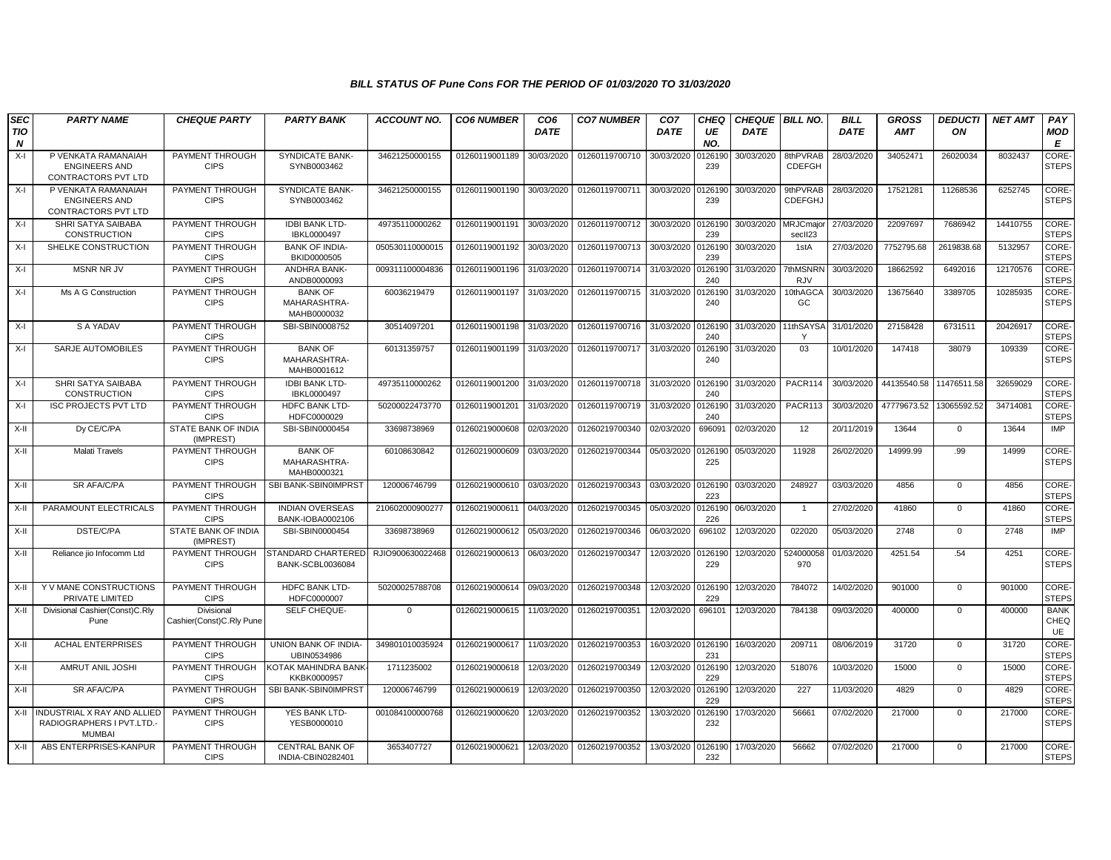| <b>SEC</b>      | <b>PARTY NAME</b>                                                        | <b>CHEQUE PARTY</b>                    | <b>PARTY BANK</b>                                   | <b>ACCOUNT NO.</b> | <b>CO6 NUMBER</b> | CO <sub>6</sub> | <b>CO7 NUMBER</b>         | CO <sub>7</sub> | CHEQ           | <b>CHEQUE BILL NO.</b> |                           | <b>BILL</b> | <b>GROSS</b> | <b>DEDUCTI</b> | <b>NET AMT</b> | <b>PAY</b>                   |
|-----------------|--------------------------------------------------------------------------|----------------------------------------|-----------------------------------------------------|--------------------|-------------------|-----------------|---------------------------|-----------------|----------------|------------------------|---------------------------|-------------|--------------|----------------|----------------|------------------------------|
| <b>TIO</b><br>N |                                                                          |                                        |                                                     |                    |                   | <b>DATE</b>     |                           | <b>DATE</b>     | UE<br>NO.      | <b>DATE</b>            |                           | <b>DATE</b> | AMT          | OΝ             |                | <b>MOD</b><br>Е              |
| $X-I$           | P VENKATA RAMANAIAH<br><b>ENGINEERS AND</b><br>CONTRACTORS PVT LTD       | PAYMENT THROUGH<br><b>CIPS</b>         | SYNDICATE BANK-<br>SYNB0003462                      | 34621250000155     | 01260119001189    | 30/03/2020      | 01260119700710            | 30/03/2020      | 0126190<br>239 | 30/03/2020             | 8thPVRAB<br><b>CDEFGH</b> | 28/03/2020  | 34052471     | 26020034       | 8032437        | <b>CORE</b><br><b>STEPS</b>  |
| $X-I$           | P VENKATA RAMANAIAH<br><b>ENGINEERS AND</b><br>CONTRACTORS PVT LTD       | PAYMENT THROUGH<br><b>CIPS</b>         | SYNDICATE BANK-<br>SYNB0003462                      | 34621250000155     | 01260119001190    | 30/03/2020      | 01260119700711            | 30/03/2020      | 0126190<br>239 | 30/03/2020             | 9thPVRAB<br>CDEFGHJ       | 28/03/2020  | 17521281     | 11268536       | 6252745        | CORE<br><b>STEPS</b>         |
| X-I             | SHRI SATYA SAIBABA<br><b>CONSTRUCTION</b>                                | PAYMENT THROUGH<br><b>CIPS</b>         | <b>IDBI BANK LTD-</b><br>IBKL0000497                | 49735110000262     | 01260119001191    | 30/03/2020      | 01260119700712            | 30/03/2020      | 0126190<br>239 | 30/03/2020             | MRJCmajo<br>secII23       | 27/03/2020  | 22097697     | 7686942        | 14410755       | CORE-<br><b>STEPS</b>        |
| $X-I$           | SHELKE CONSTRUCTION                                                      | PAYMENT THROUGH<br><b>CIPS</b>         | <b>BANK OF INDIA-</b><br>BKID0000505                | 050530110000015    | 01260119001192    | 30/03/2020      | 01260119700713            | 30/03/2020      | 0126190<br>239 | 30/03/2020             | 1stA                      | 27/03/2020  | 7752795.68   | 2619838.68     | 5132957        | <b>CORE</b><br><b>STEPS</b>  |
| $X-I$           | <b>MSNR NR JV</b>                                                        | PAYMENT THROUGH<br><b>CIPS</b>         | ANDHRA BANK-<br>ANDB0000093                         | 009311100004836    | 01260119001196    | 31/03/2020      | 01260119700714            | 31/03/2020      | 0126190<br>240 | 31/03/2020             | 7thMSNRN<br><b>RJV</b>    | 30/03/2020  | 18662592     | 6492016        | 12170576       | CORE-<br><b>STEPS</b>        |
| $X-I$           | Ms A G Construction                                                      | PAYMENT THROUGH<br><b>CIPS</b>         | <b>BANK OF</b><br>MAHARASHTRA-<br>MAHB0000032       | 60036219479        | 01260119001197    | 31/03/2020      | 01260119700715            | 31/03/2020      | 0126190<br>240 | 31/03/2020             | 10thAGC/<br>GC            | 30/03/2020  | 13675640     | 3389705        | 10285935       | CORE-<br><b>STEPS</b>        |
| $X-I$           | S A YADAV                                                                | PAYMENT THROUGH<br><b>CIPS</b>         | SBI-SBIN0008752                                     | 30514097201        | 01260119001198    | 31/03/2020      | 01260119700716            | 31/03/2020      | 0126190<br>240 | 31/03/2020             | 11thSAYS/<br>$\mathsf{v}$ | 31/01/2020  | 27158428     | 6731511        | 20426917       | CORE-<br><b>STEPS</b>        |
| $X-I$           | SARJE AUTOMOBILES                                                        | PAYMENT THROUGH<br><b>CIPS</b>         | <b>BANK OF</b><br>MAHARASHTRA-<br>MAHB0001612       | 60131359757        | 01260119001199    | 31/03/2020      | 01260119700717            | 31/03/2020      | 0126190<br>240 | 31/03/2020             | 03                        | 10/01/2020  | 147418       | 38079          | 109339         | CORE-<br><b>STEPS</b>        |
| $X-I$           | SHRI SATYA SAIBABA<br><b>CONSTRUCTION</b>                                | PAYMENT THROUGH<br><b>CIPS</b>         | <b>IDBI BANK LTD-</b><br>IBKL0000497                | 49735110000262     | 01260119001200    | 31/03/2020      | 01260119700718 31/03/2020 |                 | 0126190<br>240 | 31/03/2020             | PACR114                   | 30/03/2020  | 44135540.58  | 11476511.58    | 32659029       | <b>CORE</b><br><b>STEPS</b>  |
| X-I             | <b>ISC PROJECTS PVT LTD</b>                                              | PAYMENT THROUGH<br><b>CIPS</b>         | HDFC BANK LTD-<br>HDFC0000029                       | 50200022473770     | 01260119001201    | 31/03/2020      | 01260119700719            | 31/03/2020      | 0126190<br>240 | 31/03/2020             | PACR113                   | 30/03/2020  | 47779673.52  | 13065592.52    | 34714081       | CORE-<br><b>STEPS</b>        |
| $X-H$           | Dy CE/C/PA                                                               | STATE BANK OF INDIA<br>(IMPREST)       | SBI-SBIN0000454                                     | 33698738969        | 01260219000608    | 02/03/2020      | 01260219700340            | 02/03/2020      | 696091         | 02/03/2020             | 12                        | 20/11/2019  | 13644        | $\Omega$       | 13644          | <b>IMP</b>                   |
| $X-II$          | Malati Travels                                                           | PAYMENT THROUGH<br><b>CIPS</b>         | <b>BANK OF</b><br>MAHARASHTRA-<br>MAHB0000321       | 60108630842        | 01260219000609    | 03/03/2020      | 01260219700344            | 05/03/2020      | 0126190<br>225 | 05/03/2020             | 11928                     | 26/02/2020  | 14999.99     | .99            | 14999          | CORE-<br><b>STEPS</b>        |
| $X-H$           | SR AFA/C/PA                                                              | PAYMENT THROUGH<br><b>CIPS</b>         | SBI BANK-SBIN0IMPRST                                | 120006746799       | 01260219000610    | 03/03/2020      | 01260219700343            | 03/03/2020      | 012619<br>223  | 03/03/2020             | 248927                    | 03/03/2020  | 4856         | $\mathbf{0}$   | 4856           | CORE-<br><b>STEPS</b>        |
| $X-II$          | PARAMOUNT ELECTRICALS                                                    | PAYMENT THROUGH<br><b>CIPS</b>         | <b>INDIAN OVERSEAS</b><br>BANK-IOBA0002106          | 21060200090027     | 0126021900061     | 04/03/2020      | 01260219700345            | 05/03/2020      | 012619<br>226  | 06/03/2020             | $\overline{1}$            | 27/02/2020  | 41860        | $\mathbf 0$    | 41860          | CORE-<br><b>STEPS</b>        |
| $X-H$           | DSTE/C/PA                                                                | STATE BANK OF INDIA<br>(IMPREST)       | SBI-SBIN0000454                                     | 33698738969        | 01260219000612    | 05/03/2020      | 01260219700346            | 06/03/2020      | 696102         | 12/03/2020             | 022020                    | 05/03/2020  | 2748         | $\mathbf{0}$   | 2748           | IMP                          |
| $X-II$          | Reliance jio Infocomm Ltd                                                | PAYMENT THROUGH<br><b>CIPS</b>         | <b>TANDARD CHARTERED</b><br><b>BANK-SCBL0036084</b> | RJIO900630022468   | 01260219000613    | 06/03/2020      | 01260219700347            | 12/03/2020      | 0126190<br>229 | 12/03/2020             | 524000058<br>970          | 01/03/2020  | 4251.54      | .54            | 4251           | CORE-<br><b>STEPS</b>        |
| $X-H$           | Y V MANE CONSTRUCTIONS<br>PRIVATE LIMITED                                | PAYMENT THROUGH<br><b>CIPS</b>         | <b>HDFC BANK LTD-</b><br>HDFC0000007                | 50200025788708     | 01260219000614    | 09/03/2020      | 01260219700348            | 12/03/2020      | 0126190<br>229 | 12/03/2020             | 784072                    | 14/02/2020  | 901000       | $\mathbf{0}$   | 901000         | <b>CORE-</b><br><b>STEPS</b> |
| $X-II$          | Divisional Cashier(Const)C.Rly<br>Pune                                   | Divisional<br>Cashier(Const)C.Rly Pune | SELF CHEQUE-                                        | $\Omega$           | 01260219000615    | 11/03/2020      | 01260219700351            | 12/03/2020      | 696101         | 12/03/2020             | 784138                    | 09/03/2020  | 400000       | $\Omega$       | 400000         | <b>BANK</b><br>CHEQ<br>UE    |
| $X-H$           | <b>ACHAL ENTERPRISES</b>                                                 | PAYMENT THROUGH<br><b>CIPS</b>         | UNION BANK OF INDIA-<br>UBIN0534986                 | 349801010035924    | 01260219000617    | 11/03/2020      | 01260219700353            | 16/03/2020      | 0126190<br>231 | 16/03/2020             | 209711                    | 08/06/2019  | 31720        | $\mathbf 0$    | 31720          | CORE-<br><b>STEPS</b>        |
| $X-H$           | AMRUT ANIL JOSHI                                                         | PAYMENT THROUGH<br><b>CIPS</b>         | KOTAK MAHINDRA BANK<br>KKBK0000957                  | 1711235002         | 01260219000618    | 12/03/2020      | 01260219700349            | 12/03/2020      | 0126190<br>229 | 12/03/2020             | 518076                    | 10/03/2020  | 15000        | $\mathbf 0$    | 15000          | CORE-<br><b>STEPS</b>        |
| X-II            | SR AFA/C/PA                                                              | PAYMENT THROUGH<br><b>CIPS</b>         | SBI BANK-SBIN0IMPRST                                | 120006746799       | 01260219000619    | 12/03/2020      | 01260219700350            | 12/03/2020      | 0126190<br>229 | 12/03/2020             | 227                       | 11/03/2020  | 4829         | $\mathbf 0$    | 4829           | CORE-<br><b>STEPS</b>        |
| $X-H$           | INDUSTRIAL X RAY AND ALLIED<br>RADIOGRAPHERS I PVT.LTD.<br><b>MUMBAI</b> | PAYMENT THROUGH<br><b>CIPS</b>         | YES BANK LTD-<br>YESB0000010                        | 001084100000768    | 01260219000620    | 12/03/2020      | 01260219700352            | 13/03/2020      | 0126190<br>232 | 17/03/2020             | 56661                     | 07/02/2020  | 217000       | $\mathbf{0}$   | 217000         | CORE-<br><b>STEPS</b>        |
| $X-H$           | ABS ENTERPRISES-KANPUR                                                   | PAYMENT THROUGH<br><b>CIPS</b>         | <b>CENTRAL BANK OF</b><br>INDIA-CBIN0282401         | 3653407727         | 01260219000621    | 12/03/2020      | 01260219700352            | 13/03/2020      | 0126190<br>232 | 17/03/2020             | 56662                     | 07/02/2020  | 217000       | $\Omega$       | 217000         | <b>CORE-</b><br><b>STEPS</b> |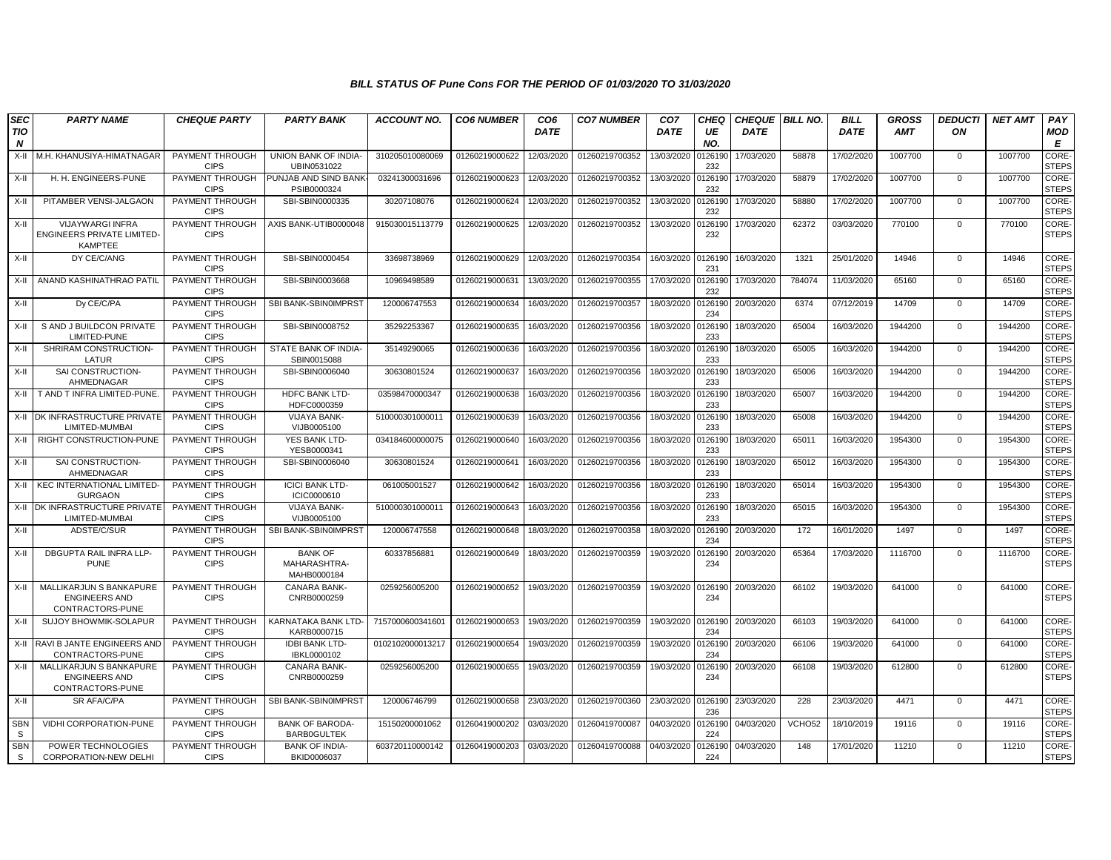| <b>SEC</b><br>TIO<br>N | <b>PARTY NAME</b>                                                   | <b>CHEQUE PARTY</b>                   | <b>PARTY BANK</b>                             | <b>ACCOUNT NO.</b> | <b>CO6 NUMBER</b> | CO <sub>6</sub><br><b>DATE</b> | <b>CO7 NUMBER</b> | CO <sub>7</sub><br><b>DATE</b> | <b>CHEQ</b><br>UE<br>NO. | <b>CHEQUE BILL NO.</b><br><b>DATE</b> |        | <b>BILL</b><br><b>DATE</b> | <b>GROSS</b><br><b>AMT</b> | <b>DEDUCTI</b><br>ON | <b>NET AMT</b> | PAY<br><b>MOD</b><br>E |
|------------------------|---------------------------------------------------------------------|---------------------------------------|-----------------------------------------------|--------------------|-------------------|--------------------------------|-------------------|--------------------------------|--------------------------|---------------------------------------|--------|----------------------------|----------------------------|----------------------|----------------|------------------------|
| $X-II$                 | M.H. KHANUSIYA-HIMATNAGAR                                           | PAYMENT THROUGH<br><b>CIPS</b>        | UNION BANK OF INDIA-<br>UBIN0531022           | 310205010080069    | 01260219000622    | 12/03/2020                     | 01260219700352    | 13/03/2020                     | 0126190<br>232           | 17/03/2020                            | 58878  | 17/02/2020                 | 1007700                    | $\mathbf 0$          | 1007700        | CORE-<br><b>STEPS</b>  |
| $X-II$                 | H. H. ENGINEERS-PUNE                                                | PAYMENT THROUGH<br><b>CIPS</b>        | PUNJAB AND SIND BANK-<br>PSIB0000324          | 03241300031696     | 01260219000623    | 12/03/2020                     | 01260219700352    | 13/03/2020                     | 0126190<br>232           | 17/03/2020                            | 58879  | 17/02/2020                 | 1007700                    | $\mathbf{0}$         | 1007700        | CORE-<br><b>STEPS</b>  |
| X-II                   | PITAMBER VENSI-JALGAON                                              | PAYMENT THROUGH<br><b>CIPS</b>        | SBI-SBIN0000335                               | 30207108076        | 01260219000624    | 12/03/2020                     | 01260219700352    | 13/03/2020                     | 0126190<br>232           | 17/03/2020                            | 58880  | 17/02/2020                 | 1007700                    | $\Omega$             | 1007700        | CORE-<br><b>STEPS</b>  |
| X-II                   | VIJAYWARGI INFRA<br>ENGINEERS PRIVATE LIMITED-<br><b>KAMPTEE</b>    | PAYMENT THROUGH<br><b>CIPS</b>        | AXIS BANK-UTIB0000048                         | 915030015113779    | 01260219000625    | 12/03/2020                     | 01260219700352    | 13/03/2020                     | 0126190<br>232           | 17/03/2020                            | 62372  | 03/03/2020                 | 770100                     | $\mathbf 0$          | 770100         | CORE-<br><b>STEPS</b>  |
| X-II                   | DY CE/C/ANG                                                         | PAYMENT THROUGH<br><b>CIPS</b>        | SBI-SBIN0000454                               | 33698738969        | 01260219000629    | 12/03/2020                     | 01260219700354    | 16/03/2020                     | 0126190<br>231           | 16/03/2020                            | 1321   | 25/01/2020                 | 14946                      | $\mathbf 0$          | 14946          | CORE-<br><b>STEPS</b>  |
| $X-II$                 | ANAND KASHINATHRAO PATIL                                            | PAYMENT THROUGH<br><b>CIPS</b>        | SBI-SBIN0003668                               | 10969498589        | 01260219000631    | 13/03/2020                     | 01260219700355    | 17/03/2020                     | 0126190<br>232           | 17/03/2020                            | 784074 | 11/03/2020                 | 65160                      | $\Omega$             | 65160          | CORE-<br><b>STEPS</b>  |
| X-II                   | Dy CE/C/PA                                                          | PAYMENT THROUGH<br><b>CIPS</b>        | SBI BANK-SBIN0IMPRST                          | 120006747553       | 01260219000634    | 16/03/2020                     | 01260219700357    | 18/03/2020                     | 0126190<br>234           | 20/03/2020                            | 6374   | 07/12/2019                 | 14709                      | $\mathbf 0$          | 14709          | CORE-<br><b>STEPS</b>  |
| $X-II$                 | S AND J BUILDCON PRIVATE<br>LIMITED-PUNE                            | PAYMENT THROUGH<br><b>CIPS</b>        | SBI-SBIN0008752                               | 35292253367        | 01260219000635    | 16/03/2020                     | 01260219700356    | 18/03/2020                     | 0126190<br>233           | 18/03/2020                            | 65004  | 16/03/2020                 | 1944200                    | $\Omega$             | 1944200        | CORE-<br><b>STEPS</b>  |
| $X-II$                 | SHRIRAM CONSTRUCTION-<br>LATUR                                      | PAYMENT THROUGH<br><b>CIPS</b>        | STATE BANK OF INDIA-<br>SBIN0015088           | 35149290065        | 01260219000636    | 16/03/2020                     | 01260219700356    | 18/03/2020                     | 0126190<br>233           | 18/03/2020                            | 65005  | 16/03/2020                 | 1944200                    | $\Omega$             | 1944200        | CORE-<br><b>STEPS</b>  |
| $X-H$                  | SAI CONSTRUCTION-<br>AHMEDNAGAR                                     | PAYMENT THROUGH<br><b>CIPS</b>        | SBI-SBIN0006040                               | 30630801524        | 01260219000637    | 16/03/2020                     | 01260219700356    | 18/03/2020                     | 0126190<br>233           | 18/03/2020                            | 65006  | 16/03/2020                 | 1944200                    | $\mathbf{0}$         | 1944200        | CORE-<br>STEPS         |
| X-II                   | T AND T INFRA LIMITED-PUNE                                          | PAYMENT THROUGH<br><b>CIPS</b>        | HDFC BANK LTD-<br>HDFC0000359                 | 03598470000347     | 01260219000638    | 16/03/2020                     | 01260219700356    | 18/03/2020                     | 0126190<br>233           | 18/03/2020                            | 65007  | 16/03/2020                 | 1944200                    | $\Omega$             | 1944200        | CORE-<br><b>STEPS</b>  |
| $X-H$                  | DK INFRASTRUCTURE PRIVATE<br>LIMITED-MUMBAI                         | <b>PAYMENT THROUGH</b><br><b>CIPS</b> | VIJAYA BANK-<br>VIJB0005100                   | 510000301000011    | 01260219000639    | 16/03/2020                     | 01260219700356    | 18/03/2020                     | 0126190<br>233           | 18/03/2020                            | 65008  | 16/03/2020                 | 1944200                    | $\mathbf 0$          | 1944200        | CORE-<br><b>STEPS</b>  |
| $X-H$                  | RIGHT CONSTRUCTION-PUNE                                             | PAYMENT THROUGH<br><b>CIPS</b>        | YES BANK LTD-<br>YESB0000341                  | 034184600000075    | 01260219000640    | 16/03/2020                     | 01260219700356    | 18/03/2020                     | 0126190<br>233           | 18/03/2020                            | 65011  | 16/03/2020                 | 1954300                    | $\Omega$             | 1954300        | CORE-<br><b>STEPS</b>  |
| $X-H$                  | SAI CONSTRUCTION-<br>AHMEDNAGAR                                     | PAYMENT THROUGH<br><b>CIPS</b>        | SBI-SBIN0006040                               | 30630801524        | 01260219000641    | 16/03/2020                     | 01260219700356    | 18/03/2020                     | 0126190<br>233           | 18/03/2020                            | 65012  | 16/03/2020                 | 1954300                    | $\Omega$             | 1954300        | CORE-<br><b>STEPS</b>  |
| X-II                   | <b>KEC INTERNATIONAL LIMITED-</b><br><b>GURGAON</b>                 | PAYMENT THROUGH<br><b>CIPS</b>        | <b>ICICI BANK LTD-</b><br>ICIC0000610         | 061005001527       | 01260219000642    | 16/03/2020                     | 01260219700356    | 18/03/2020                     | 0126190<br>233           | 18/03/2020                            | 65014  | 16/03/2020                 | 1954300                    | $\mathbf{0}$         | 1954300        | CORE-<br><b>STEPS</b>  |
| $X-H$                  | DK INFRASTRUCTURE PRIVATE<br>LIMITED-MUMBAI                         | PAYMENT THROUGH<br><b>CIPS</b>        | <b>VIJAYA BANK-</b><br>VIJB0005100            | 51000030100001     | 01260219000643    | 16/03/2020                     | 01260219700356    | 18/03/2020                     | 0126190<br>233           | 18/03/2020                            | 65015  | 16/03/2020                 | 1954300                    | $\Omega$             | 1954300        | CORE-<br><b>STEPS</b>  |
| $X-II$                 | ADSTE/C/SUR                                                         | PAYMENT THROUGH<br><b>CIPS</b>        | SBI BANK-SBIN0IMPRST                          | 120006747558       | 01260219000648    | 18/03/2020                     | 01260219700358    | 18/03/2020                     | 0126190<br>234           | 20/03/2020                            | 172    | 16/01/2020                 | 1497                       | $\mathbf 0$          | 1497           | CORE-<br><b>STEPS</b>  |
| $X-H$                  | <b>DBGUPTA RAIL INFRA LLP-</b><br><b>PUNE</b>                       | PAYMENT THROUGH<br><b>CIPS</b>        | <b>BANK OF</b><br>MAHARASHTRA-<br>MAHB0000184 | 60337856881        | 01260219000649    | 18/03/2020                     | 01260219700359    | 19/03/2020                     | 0126190<br>234           | 20/03/2020                            | 65364  | 17/03/2020                 | 1116700                    | $\mathbf{0}$         | 1116700        | CORE-<br><b>STEPS</b>  |
| $X-II$                 | MALLIKARJUN S BANKAPURE<br><b>ENGINEERS AND</b><br>CONTRACTORS-PUNE | PAYMENT THROUGH<br><b>CIPS</b>        | CANARA BANK-<br>CNRB0000259                   | 0259256005200      | 01260219000652    | 19/03/2020                     | 01260219700359    | 19/03/2020                     | 0126190<br>234           | 20/03/2020                            | 66102  | 19/03/2020                 | 641000                     | $\Omega$             | 641000         | CORE-<br><b>STEPS</b>  |
| $X-H$                  | <b>SUJOY BHOWMIK-SOLAPUR</b>                                        | PAYMENT THROUGH<br><b>CIPS</b>        | KARNATAKA BANK LTD-<br>KARB0000715            | 7157000600341601   | 01260219000653    | 19/03/2020                     | 01260219700359    | 19/03/2020 0126190             | 234                      | 20/03/2020                            | 66103  | 19/03/2020                 | 641000                     | $\Omega$             | 641000         | CORE-<br><b>STEPS</b>  |
| X-II                   | RAVI B JANTE ENGINEERS AND<br>CONTRACTORS-PUNE                      | PAYMENT THROUGH<br><b>CIPS</b>        | <b>IDBI BANK LTD-</b><br>IBKL0000102          | 0102102000013217   | 01260219000654    | 19/03/2020                     | 01260219700359    | 19/03/2020                     | 0126190<br>234           | 20/03/2020                            | 66106  | 19/03/2020                 | 641000                     | $\mathbf 0$          | 641000         | CORE-<br><b>STEPS</b>  |
| $X-H$                  | MALLIKARJUN S BANKAPURE<br><b>ENGINEERS AND</b><br>CONTRACTORS-PUNE | PAYMENT THROUGH<br><b>CIPS</b>        | CANARA BANK-<br>CNRB0000259                   | 0259256005200      | 01260219000655    | 19/03/2020                     | 01260219700359    | 19/03/2020                     | 0126190<br>234           | 20/03/2020                            | 66108  | 19/03/2020                 | 612800                     | $\mathbf 0$          | 612800         | CORE-<br><b>STEPS</b>  |
| $X-II$                 | SR AFA/C/PA                                                         | PAYMENT THROUGH<br><b>CIPS</b>        | SBI BANK-SBIN0IMPRST                          | 120006746799       | 01260219000658    | 23/03/2020                     | 01260219700360    | 23/03/2020                     | 0126190<br>236           | 23/03/2020                            | 228    | 23/03/2020                 | 4471                       | $\mathbf{0}$         | 4471           | CORE-<br><b>STEPS</b>  |
| <b>SBN</b><br>-S       | VIDHI CORPORATION-PUNE                                              | PAYMENT THROUGH<br><b>CIPS</b>        | <b>BANK OF BARODA-</b><br><b>BARB0GULTEK</b>  | 15150200001062     | 01260419000202    | 03/03/2020                     | 01260419700087    | 04/03/2020                     | 0126190<br>224           | 04/03/2020                            | VCHO52 | 18/10/2019                 | 19116                      | $\mathbf{0}$         | 19116          | CORE-<br><b>STEPS</b>  |
| <b>SBN</b><br>S        | POWER TECHNOLOGIES<br>CORPORATION-NEW DELHI                         | PAYMENT THROUGH<br><b>CIPS</b>        | <b>BANK OF INDIA-</b><br>BKID0006037          | 603720110000142    | 01260419000203    | 03/03/2020                     | 01260419700088    | 04/03/2020                     | 0126190<br>224           | 04/03/2020                            | 148    | 17/01/2020                 | 11210                      | $\Omega$             | 11210          | CORE-<br><b>STEPS</b>  |